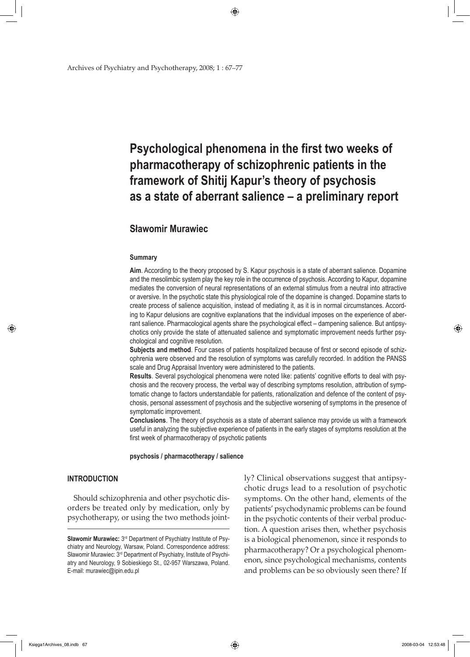Archives of Psychiatry and Psychotherapy, 2008; 1 : 67–77

# **Psychological phenomena in the first two weeks of pharmacotherapy of schizophrenic patients in the framework of Shitij Kapur's theory of psychosis as a state of aberrant salience – a preliminary report**

# **Sławomir Murawiec**

#### **Summary**

**Aim**. According to the theory proposed by S. Kapur psychosis is a state of aberrant salience. Dopamine and the mesolimbic system play the key role in the occurrence of psychosis. According to Kapur, dopamine mediates the conversion of neural representations of an external stimulus from a neutral into attractive or aversive. In the psychotic state this physiological role of the dopamine is changed. Dopamine starts to create process of salience acquisition, instead of mediating it, as it is in normal circumstances. According to Kapur delusions are cognitive explanations that the individual imposes on the experience of aberrant salience. Pharmacological agents share the psychological effect – dampening salience. But antipsychotics only provide the state of attenuated salience and symptomatic improvement needs further psychological and cognitive resolution.

**Subjects and method**. Four cases of patients hospitalized because of first or second episode of schizophrenia were observed and the resolution of symptoms was carefully recorded. In addition the PANSS scale and Drug Appraisal Inventory were administered to the patients.

**Results**. Several psychological phenomena were noted like: patients' cognitive efforts to deal with psychosis and the recovery process, the verbal way of describing symptoms resolution, attribution of symptomatic change to factors understandable for patients, rationalization and defence of the content of psychosis, personal assessment of psychosis and the subjective worsening of symptoms in the presence of symptomatic improvement.

**Conclusions**. The theory of psychosis as a state of aberrant salience may provide us with a framework useful in analyzing the subjective experience of patients in the early stages of symptoms resolution at the first week of pharmacotherapy of psychotic patients

**psychosis / pharmacotherapy / salience**

# **INTRODUCTION**

Should schizophrenia and other psychotic disorders be treated only by medication, only by psychotherapy, or using the two methods jointly? Clinical observations suggest that antipsychotic drugs lead to a resolution of psychotic symptoms. On the other hand, elements of the patients' psychodynamic problems can be found in the psychotic contents of their verbal production. A question arises then, whether psychosis is a biological phenomenon, since it responds to pharmacotherapy? Or a psychological phenomenon, since psychological mechanisms, contents and problems can be so obviously seen there? If

↔

**Sławomir Murawiec:** 3rd Department of Psychiatry Institute of Psychiatry and Neurology, Warsaw, Poland. Correspondence address: Sławomir Murawiec: 3rd Department of Psychiatry, Institute of Psychiatry and Neurology, 9 Sobieskiego St., 02-957 Warszawa, Poland. E-mail: murawiec@ipin.edu.pl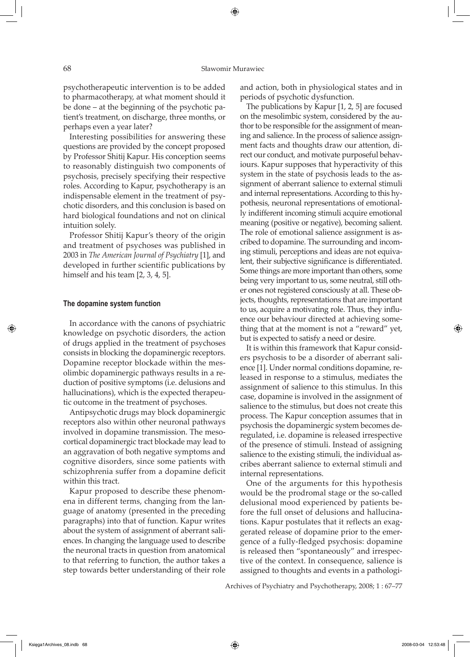psychotherapeutic intervention is to be added to pharmacotherapy, at what moment should it be done – at the beginning of the psychotic patient's treatment, on discharge, three months, or perhaps even a year later?

Interesting possibilities for answering these questions are provided by the concept proposed by Professor Shitij Kapur. His conception seems to reasonably distinguish two components of psychosis, precisely specifying their respective roles. According to Kapur, psychotherapy is an indispensable element in the treatment of psychotic disorders, and this conclusion is based on hard biological foundations and not on clinical intuition solely.

Professor Shitij Kapur's theory of the origin and treatment of psychoses was published in 2003 in *The American Journal of Psychiatry* [1], and developed in further scientific publications by himself and his team [2, 3, 4, 5].

## **The dopamine system function**

⇔

In accordance with the canons of psychiatric knowledge on psychotic disorders, the action of drugs applied in the treatment of psychoses consists in blocking the dopaminergic receptors. Dopamine receptor blockade within the mesolimbic dopaminergic pathways results in a reduction of positive symptoms (i.e. delusions and hallucinations), which is the expected therapeutic outcome in the treatment of psychoses.

Antipsychotic drugs may block dopaminergic receptors also within other neuronal pathways involved in dopamine transmission. The mesocortical dopaminergic tract blockade may lead to an aggravation of both negative symptoms and cognitive disorders, since some patients with schizophrenia suffer from a dopamine deficit within this tract.

Kapur proposed to describe these phenomena in different terms, changing from the language of anatomy (presented in the preceding paragraphs) into that of function. Kapur writes about the system of assignment of aberrant saliences. In changing the language used to describe the neuronal tracts in question from anatomical to that referring to function, the author takes a step towards better understanding of their role

and action, both in physiological states and in periods of psychotic dysfunction.

The publications by Kapur [1, 2, 5] are focused on the mesolimbic system, considered by the author to be responsible for the assignment of meaning and salience. In the process of salience assignment facts and thoughts draw our attention, direct our conduct, and motivate purposeful behaviours. Kapur supposes that hyperactivity of this system in the state of psychosis leads to the assignment of aberrant salience to external stimuli and internal representations. According to this hypothesis, neuronal representations of emotionally indifferent incoming stimuli acquire emotional meaning (positive or negative), becoming salient. The role of emotional salience assignment is ascribed to dopamine. The surrounding and incoming stimuli, perceptions and ideas are not equivalent, their subjective significance is differentiated. Some things are more important than others, some being very important to us, some neutral, still other ones not registered consciously at all. These objects, thoughts, representations that are important to us, acquire a motivating role. Thus, they influence our behaviour directed at achieving something that at the moment is not a "reward" yet, but is expected to satisfy a need or desire.

It is within this framework that Kapur considers psychosis to be a disorder of aberrant salience [1]. Under normal conditions dopamine, released in response to a stimulus, mediates the assignment of salience to this stimulus. In this case, dopamine is involved in the assignment of salience to the stimulus, but does not create this process. The Kapur conception assumes that in psychosis the dopaminergic system becomes deregulated, i.e. dopamine is released irrespective of the presence of stimuli. Instead of assigning salience to the existing stimuli, the individual ascribes aberrant salience to external stimuli and internal representations.

One of the arguments for this hypothesis would be the prodromal stage or the so-called delusional mood experienced by patients before the full onset of delusions and hallucinations. Kapur postulates that it reflects an exaggerated release of dopamine prior to the emergence of a fully-fledged psychosis: dopamine is released then "spontaneously" and irrespective of the context. In consequence, salience is assigned to thoughts and events in a pathologi-

Archives of Psychiatry and Psychotherapy, 2008; 1 : 67–77

</del>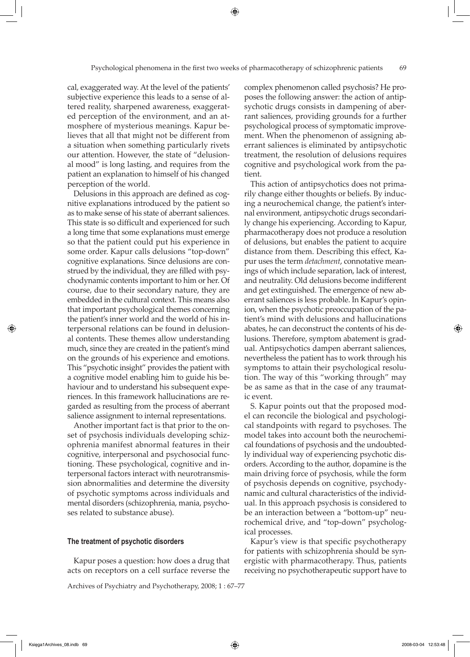cal, exaggerated way. At the level of the patients' subjective experience this leads to a sense of altered reality, sharpened awareness, exaggerated perception of the environment, and an atmosphere of mysterious meanings. Kapur believes that all that might not be different from a situation when something particularly rivets our attention. However, the state of "delusional mood" is long lasting, and requires from the patient an explanation to himself of his changed perception of the world.

Delusions in this approach are defined as cognitive explanations introduced by the patient so as to make sense of his state of aberrant saliences. This state is so difficult and experienced for such a long time that some explanations must emerge so that the patient could put his experience in some order. Kapur calls delusions "top-down" cognitive explanations. Since delusions are construed by the individual, they are filled with psychodynamic contents important to him or her. Of course, due to their secondary nature, they are embedded in the cultural context. This means also that important psychological themes concerning the patient's inner world and the world of his interpersonal relations can be found in delusional contents. These themes allow understanding much, since they are created in the patient's mind on the grounds of his experience and emotions. This "psychotic insight" provides the patient with a cognitive model enabling him to guide his behaviour and to understand his subsequent experiences. In this framework hallucinations are regarded as resulting from the process of aberrant salience assignment to internal representations.

Another important fact is that prior to the onset of psychosis individuals developing schizophrenia manifest abnormal features in their cognitive, interpersonal and psychosocial functioning. These psychological, cognitive and interpersonal factors interact with neurotransmission abnormalities and determine the diversity of psychotic symptoms across individuals and mental disorders (schizophrenia, mania, psychoses related to substance abuse).

## **The treatment of psychotic disorders**

Kapur poses a question: how does a drug that acts on receptors on a cell surface reverse the

Archives of Psychiatry and Psychotherapy, 2008; 1 : 67–77

complex phenomenon called psychosis? He proposes the following answer: the action of antipsychotic drugs consists in dampening of aberrant saliences, providing grounds for a further psychological process of symptomatic improvement. When the phenomenon of assigning aberrant saliences is eliminated by antipsychotic treatment, the resolution of delusions requires cognitive and psychological work from the patient.

This action of antipsychotics does not primarily change either thoughts or beliefs. By inducing a neurochemical change, the patient's internal environment, antipsychotic drugs secondarily change his experiencing. According to Kapur, pharmacotherapy does not produce a resolution of delusions, but enables the patient to acquire distance from them. Describing this effect, Kapur uses the term *detachment*, connotative meanings of which include separation, lack of interest, and neutrality. Old delusions become indifferent and get extinguished. The emergence of new aberrant saliences is less probable. In Kapur's opinion, when the psychotic preoccupation of the patient's mind with delusions and hallucinations abates, he can deconstruct the contents of his delusions. Therefore, symptom abatement is gradual. Antipsychotics dampen aberrant saliences, nevertheless the patient has to work through his symptoms to attain their psychological resolution. The way of this "working through" may be as same as that in the case of any traumatic event.

S. Kapur points out that the proposed model can reconcile the biological and psychological standpoints with regard to psychoses. The model takes into account both the neurochemical foundations of psychosis and the undoubtedly individual way of experiencing psychotic disorders. According to the author, dopamine is the main driving force of psychosis, while the form of psychosis depends on cognitive, psychodynamic and cultural characteristics of the individual. In this approach psychosis is considered to be an interaction between a "bottom-up" neurochemical drive, and "top-down" psychological processes.

Kapur's view is that specific psychotherapy for patients with schizophrenia should be synergistic with pharmacotherapy. Thus, patients receiving no psychotherapeutic support have to

Księga1Archives\_08.indb 69 2008-03-04 12:53:48

⇔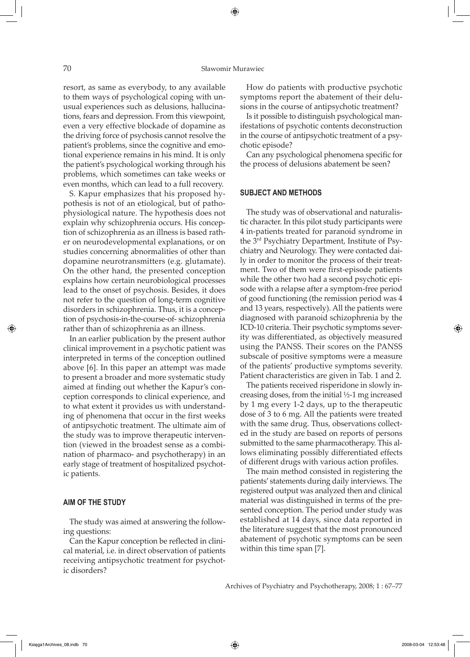## 70 Sławomir Murawiec

⊕

resort, as same as everybody, to any available to them ways of psychological coping with unusual experiences such as delusions, hallucinations, fears and depression. From this viewpoint, even a very effective blockade of dopamine as the driving force of psychosis cannot resolve the patient's problems, since the cognitive and emotional experience remains in his mind. It is only the patient's psychological working through his problems, which sometimes can take weeks or even months, which can lead to a full recovery.

S. Kapur emphasizes that his proposed hypothesis is not of an etiological, but of pathophysiological nature. The hypothesis does not explain why schizophrenia occurs. His conception of schizophrenia as an illness is based rather on neurodevelopmental explanations, or on studies concerning abnormalities of other than dopamine neurotransmitters (e.g. glutamate). On the other hand, the presented conception explains how certain neurobiological processes lead to the onset of psychosis. Besides, it does not refer to the question of long-term cognitive disorders in schizophrenia. Thus, it is a conception of psychosis-in-the-course-of- schizophrenia rather than of schizophrenia as an illness.

In an earlier publication by the present author clinical improvement in a psychotic patient was interpreted in terms of the conception outlined above [6]. In this paper an attempt was made to present a broader and more systematic study aimed at finding out whether the Kapur's conception corresponds to clinical experience, and to what extent it provides us with understanding of phenomena that occur in the first weeks of antipsychotic treatment. The ultimate aim of the study was to improve therapeutic intervention (viewed in the broadest sense as a combination of pharmaco- and psychotherapy) in an early stage of treatment of hospitalized psychotic patients.

# **AIM OF THE STUDY**

The study was aimed at answering the following questions:

Can the Kapur conception be reflected in clinical material, i.e. in direct observation of patients receiving antipsychotic treatment for psychotic disorders?

How do patients with productive psychotic symptoms report the abatement of their delusions in the course of antipsychotic treatment?

Is it possible to distinguish psychological manifestations of psychotic contents deconstruction in the course of antipsychotic treatment of a psychotic episode?

Can any psychological phenomena specific for the process of delusions abatement be seen?

#### **SUBJECT AND METHODS**

The study was of observational and naturalistic character. In this pilot study participants were 4 in-patients treated for paranoid syndrome in the 3rd Psychiatry Department, Institute of Psychiatry and Neurology. They were contacted daily in order to monitor the process of their treatment. Two of them were first-episode patients while the other two had a second psychotic episode with a relapse after a symptom-free period of good functioning (the remission period was 4 and 13 years, respectively). All the patients were diagnosed with paranoid schizophrenia by the ICD-10 criteria. Their psychotic symptoms severity was differentiated, as objectively measured using the PANSS. Their scores on the PANSS subscale of positive symptoms were a measure of the patients' productive symptoms severity. Patient characteristics are given in Tab. 1 and 2.

The patients received risperidone in slowly increasing doses, from the initial ½-1 mg increased by 1 mg every 1-2 days, up to the therapeutic dose of 3 to 6 mg. All the patients were treated with the same drug. Thus, observations collected in the study are based on reports of persons submitted to the same pharmacotherapy. This allows eliminating possibly differentiated effects of different drugs with various action profiles.

The main method consisted in registering the patients' statements during daily interviews. The registered output was analyzed then and clinical material was distinguished in terms of the presented conception. The period under study was established at 14 days, since data reported in the literature suggest that the most pronounced abatement of psychotic symptoms can be seen within this time span [7].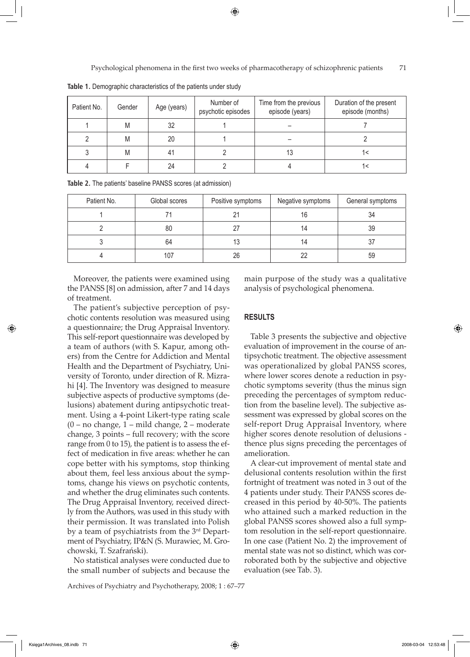Psychological phenomena in the first two weeks of pharmacotherapy of schizophrenic patients 71

| Patient No. | Gender | Age (years) | Number of<br>psychotic episodes | Time from the previous<br>episode (years) | Duration of the present<br>episode (months) |
|-------------|--------|-------------|---------------------------------|-------------------------------------------|---------------------------------------------|
|             | M      | 32          |                                 |                                           |                                             |
|             | M      | 20          |                                 |                                           |                                             |
|             | M      | 41          |                                 | 13                                        |                                             |
|             |        | 24          |                                 |                                           |                                             |

**Table 1.** Demographic characteristics of the patients under study

| Table 2. The patients' baseline PANSS scores (at admission) |  |  |  |
|-------------------------------------------------------------|--|--|--|
|-------------------------------------------------------------|--|--|--|

| Patient No. | Global scores | Positive symptoms | Negative symptoms | General symptoms |
|-------------|---------------|-------------------|-------------------|------------------|
|             |               |                   | 16                | 34               |
|             | 80            |                   | 14                | 39               |
|             | 64            | 13                | 14                |                  |
|             | 107           | 26                |                   | 59               |

Moreover, the patients were examined using the PANSS [8] on admission, after 7 and 14 days of treatment.

The patient's subjective perception of psychotic contents resolution was measured using a questionnaire; the Drug Appraisal Inventory. This self-report questionnaire was developed by a team of authors (with S. Kapur, among others) from the Centre for Addiction and Mental Health and the Department of Psychiatry, University of Toronto, under direction of R. Mizrahi [4]. The Inventory was designed to measure subjective aspects of productive symptoms (delusions) abatement during antipsychotic treatment. Using a 4-point Likert-type rating scale (0 – no change, 1 – mild change, 2 – moderate change, 3 points – full recovery; with the score range from 0 to 15), the patient is to assess the effect of medication in five areas: whether he can cope better with his symptoms, stop thinking about them, feel less anxious about the symptoms, change his views on psychotic contents, and whether the drug eliminates such contents. The Drug Appraisal Inventory, received directly from the Authors, was used in this study with their permission. It was translated into Polish by a team of psychiatrists from the 3<sup>rd</sup> Department of Psychiatry, IP&N (S. Murawiec, M. Grochowski, T. Szafrański).

No statistical analyses were conducted due to the small number of subjects and because the

Archives of Psychiatry and Psychotherapy, 2008; 1 : 67–77

main purpose of the study was a qualitative analysis of psychological phenomena.

#### **RESULTS**

Table 3 presents the subjective and objective evaluation of improvement in the course of antipsychotic treatment. The objective assessment was operationalized by global PANSS scores, where lower scores denote a reduction in psychotic symptoms severity (thus the minus sign preceding the percentages of symptom reduction from the baseline level). The subjective assessment was expressed by global scores on the self-report Drug Appraisal Inventory, where higher scores denote resolution of delusions thence plus signs preceding the percentages of amelioration.

A clear-cut improvement of mental state and delusional contents resolution within the first fortnight of treatment was noted in 3 out of the 4 patients under study. Their PANSS scores decreased in this period by 40-50%. The patients who attained such a marked reduction in the global PANSS scores showed also a full symptom resolution in the self-report questionnaire. In one case (Patient No. 2) the improvement of mental state was not so distinct, which was corroborated both by the subjective and objective evaluation (see Tab. 3).

↔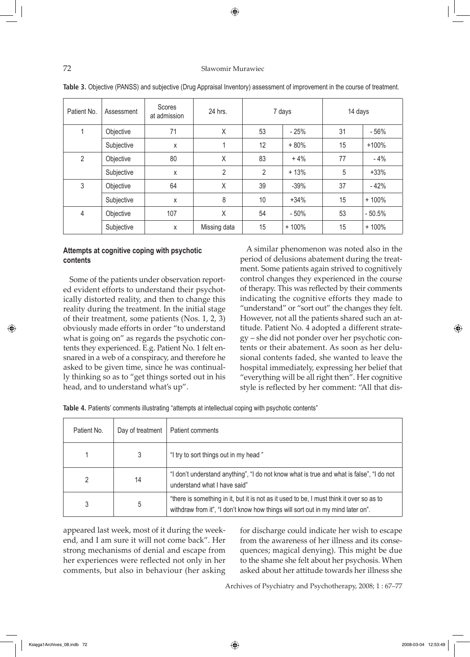# 72 Sławomir Murawiec

| Patient No.    | Assessment | <b>Scores</b><br>at admission | 24 hrs.      | 7 days         |         |    | 14 days  |  |
|----------------|------------|-------------------------------|--------------|----------------|---------|----|----------|--|
|                | Objective  | 71                            | Χ            | 53             | $-25%$  | 31 | $-56%$   |  |
|                | Subjective | X                             |              | 12             | $+80%$  | 15 | $+100%$  |  |
| $\overline{2}$ | Objective  | 80                            | X            | 83             | $+4%$   | 77 | $-4%$    |  |
|                | Subjective | X                             | 2            | $\overline{2}$ | $+13%$  | 5  | $+33%$   |  |
| 3              | Objective  | 64                            | X            | 39             | $-39%$  | 37 | $-42%$   |  |
|                | Subjective | X                             | 8            | 10             | $+34%$  | 15 | $+100%$  |  |
| 4              | Objective  | 107                           | X            | 54             | $-50%$  | 53 | $-50.5%$ |  |
|                | Subjective | X                             | Missing data | 15             | $+100%$ | 15 | $+100%$  |  |

| Table 3. Objective (PANSS) and subjective (Drug Appraisal Inventory) assessment of improvement in the course of treatment. |  |  |  |
|----------------------------------------------------------------------------------------------------------------------------|--|--|--|
|----------------------------------------------------------------------------------------------------------------------------|--|--|--|

# **Attempts at cognitive coping with psychotic contents**

Some of the patients under observation reported evident efforts to understand their psychotically distorted reality, and then to change this reality during the treatment. In the initial stage of their treatment, some patients (Nos. 1, 2, 3) obviously made efforts in order "to understand what is going on" as regards the psychotic contents they experienced. E.g. Patient No. 1 felt ensnared in a web of a conspiracy, and therefore he asked to be given time, since he was continually thinking so as to "get things sorted out in his head, and to understand what's up".

A similar phenomenon was noted also in the period of delusions abatement during the treatment. Some patients again strived to cognitively control changes they experienced in the course of therapy. This was reflected by their comments indicating the cognitive efforts they made to "understand" or "sort out" the changes they felt. However, not all the patients shared such an attitude. Patient No. 4 adopted a different strategy – she did not ponder over her psychotic contents or their abatement. As soon as her delusional contents faded, she wanted to leave the hospital immediately, expressing her belief that "everything will be all right then". Her cognitive style is reflected by her comment: "All that dis-

|  |  |  | Table 4. Patients' comments illustrating "attempts at intellectual coping with psychotic contents" |  |  |
|--|--|--|----------------------------------------------------------------------------------------------------|--|--|
|--|--|--|----------------------------------------------------------------------------------------------------|--|--|

| Patient No.                                                                          | Day of treatment | Patient comments                                                                                                         |
|--------------------------------------------------------------------------------------|------------------|--------------------------------------------------------------------------------------------------------------------------|
|                                                                                      |                  | "I try to sort things out in my head"                                                                                    |
| 2                                                                                    | 14               | "I don't understand anything", "I do not know what is true and what is false", "I do not<br>understand what I have said" |
| 5<br>withdraw from it", "I don't know how things will sort out in my mind later on". |                  | "there is something in it, but it is not as it used to be, I must think it over so as to                                 |

appeared last week, most of it during the weekend, and I am sure it will not come back". Her strong mechanisms of denial and escape from her experiences were reflected not only in her comments, but also in behaviour (her asking for discharge could indicate her wish to escape from the awareness of her illness and its consequences; magical denying). This might be due to the shame she felt about her psychosis. When asked about her attitude towards her illness she

Archives of Psychiatry and Psychotherapy, 2008; 1 : 67–77

↔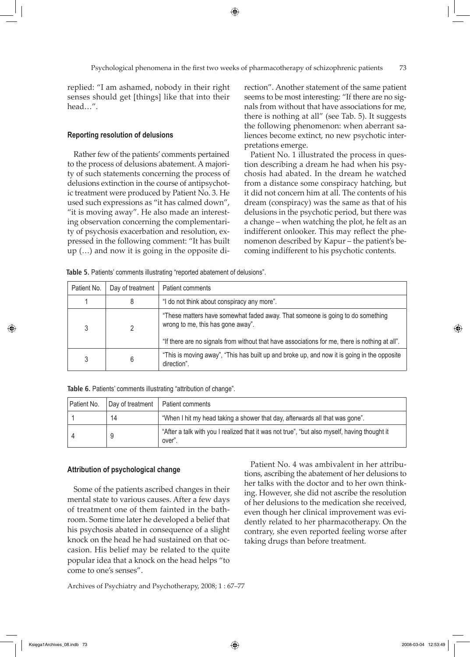replied: "I am ashamed, nobody in their right senses should get [things] like that into their head…".

## **Reporting resolution of delusions**

Rather few of the patients' comments pertained to the process of delusions abatement. A majority of such statements concerning the process of delusions extinction in the course of antipsychotic treatment were produced by Patient No. 3. He used such expressions as "it has calmed down", "it is moving away". He also made an interesting observation concerning the complementarity of psychosis exacerbation and resolution, expressed in the following comment: "It has built up (…) and now it is going in the opposite direction". Another statement of the same patient seems to be most interesting: "If there are no signals from without that have associations for me, there is nothing at all" (see Tab. 5). It suggests the following phenomenon: when aberrant saliences become extinct, no new psychotic interpretations emerge.

Patient No. 1 illustrated the process in question describing a dream he had when his psychosis had abated. In the dream he watched from a distance some conspiracy hatching, but it did not concern him at all. The contents of his dream (conspiracy) was the same as that of his delusions in the psychotic period, but there was a change – when watching the plot, he felt as an indifferent onlooker. This may reflect the phenomenon described by Kapur – the patient's becoming indifferent to his psychotic contents.

**Table 5.** Patients' comments illustrating "reported abatement of delusions".

| Patient No. | Day of treatment | Patient comments                                                                                                                                                                                                      |
|-------------|------------------|-----------------------------------------------------------------------------------------------------------------------------------------------------------------------------------------------------------------------|
|             | 8                | "I do not think about conspiracy any more".                                                                                                                                                                           |
| 3           |                  | "These matters have somewhat faded away. That someone is going to do something<br>wrong to me, this has gone away".<br>"If there are no signals from without that have associations for me, there is nothing at all". |
| 3           | 6                | "This is moving away", "This has built up and broke up, and now it is going in the opposite<br>direction".                                                                                                            |

|  |  |  |  |  | Table 6. Patients' comments illustrating "attribution of change". |
|--|--|--|--|--|-------------------------------------------------------------------|
|--|--|--|--|--|-------------------------------------------------------------------|

| Patient No. |    | Day of treatment   Patient comments                                                                    |
|-------------|----|--------------------------------------------------------------------------------------------------------|
|             | 14 | "When I hit my head taking a shower that day, afterwards all that was gone".                           |
|             |    | "After a talk with you I realized that it was not true", "but also myself, having thought it<br>over". |

#### **Attribution of psychological change**

Some of the patients ascribed changes in their mental state to various causes. After a few days of treatment one of them fainted in the bathroom. Some time later he developed a belief that his psychosis abated in consequence of a slight knock on the head he had sustained on that occasion. His belief may be related to the quite popular idea that a knock on the head helps "to come to one's senses".

Archives of Psychiatry and Psychotherapy, 2008; 1 : 67–77

Patient No. 4 was ambivalent in her attributions, ascribing the abatement of her delusions to her talks with the doctor and to her own thinking. However, she did not ascribe the resolution of her delusions to the medication she received, even though her clinical improvement was evidently related to her pharmacotherapy. On the contrary, she even reported feeling worse after taking drugs than before treatment.

↔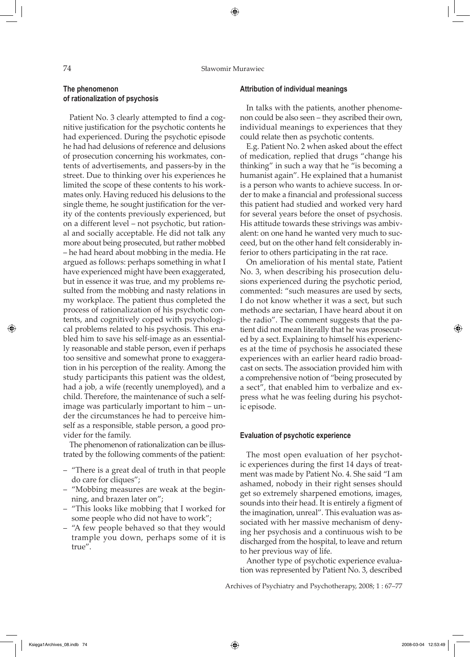74 Sławomir Murawiec

⊕

# **The phenomenon of rationalization of psychosis**

Patient No. 3 clearly attempted to find a cognitive justification for the psychotic contents he had experienced. During the psychotic episode he had had delusions of reference and delusions of prosecution concerning his workmates, contents of advertisements, and passers-by in the street. Due to thinking over his experiences he limited the scope of these contents to his workmates only. Having reduced his delusions to the single theme, he sought justification for the verity of the contents previously experienced, but on a different level – not psychotic, but rational and socially acceptable. He did not talk any more about being prosecuted, but rather mobbed – he had heard about mobbing in the media. He argued as follows: perhaps something in what I have experienced might have been exaggerated, but in essence it was true, and my problems resulted from the mobbing and nasty relations in my workplace. The patient thus completed the process of rationalization of his psychotic contents, and cognitively coped with psychological problems related to his psychosis. This enabled him to save his self-image as an essentially reasonable and stable person, even if perhaps too sensitive and somewhat prone to exaggeration in his perception of the reality. Among the study participants this patient was the oldest, had a job, a wife (recently unemployed), and a child. Therefore, the maintenance of such a selfimage was particularly important to him – under the circumstances he had to perceive himself as a responsible, stable person, a good provider for the family.

The phenomenon of rationalization can be illustrated by the following comments of the patient:

- "There is a great deal of truth in that people do care for cliques";
- "Mobbing measures are weak at the beginning, and brazen later on";
- "This looks like mobbing that I worked for some people who did not have to work";
- "A few people behaved so that they would trample you down, perhaps some of it is true".

# **Attribution of individual meanings**

In talks with the patients, another phenomenon could be also seen – they ascribed their own, individual meanings to experiences that they could relate then as psychotic contents.

E.g. Patient No. 2 when asked about the effect of medication, replied that drugs "change his thinking" in such a way that he "is becoming a humanist again". He explained that a humanist is a person who wants to achieve success. In order to make a financial and professional success this patient had studied and worked very hard for several years before the onset of psychosis. His attitude towards these strivings was ambivalent: on one hand he wanted very much to succeed, but on the other hand felt considerably inferior to others participating in the rat race.

On amelioration of his mental state, Patient No. 3, when describing his prosecution delusions experienced during the psychotic period, commented: "such measures are used by sects, I do not know whether it was a sect, but such methods are sectarian, I have heard about it on the radio". The comment suggests that the patient did not mean literally that he was prosecuted by a sect. Explaining to himself his experiences at the time of psychosis he associated these experiences with an earlier heard radio broadcast on sects. The association provided him with a comprehensive notion of "being prosecuted by a sect", that enabled him to verbalize and express what he was feeling during his psychotic episode.

## **Evaluation of psychotic experience**

The most open evaluation of her psychotic experiences during the first 14 days of treatment was made by Patient No. 4. She said "I am ashamed, nobody in their right senses should get so extremely sharpened emotions, images, sounds into their head. It is entirely a figment of the imagination, unreal". This evaluation was associated with her massive mechanism of denying her psychosis and a continuous wish to be discharged from the hospital, to leave and return to her previous way of life.

Another type of psychotic experience evaluation was represented by Patient No. 3, described

Archives of Psychiatry and Psychotherapy, 2008; 1 : 67–77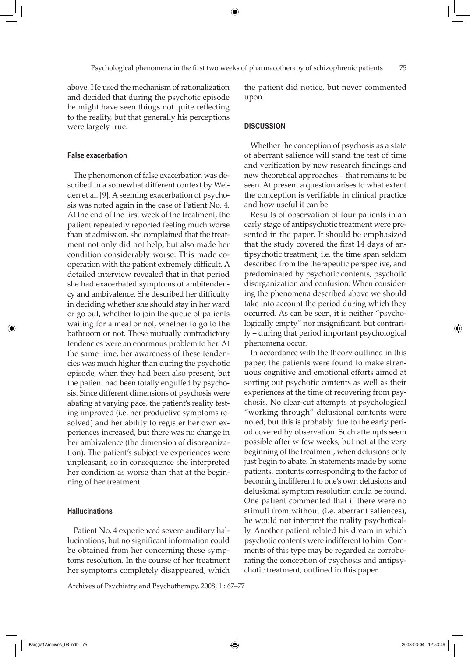above. He used the mechanism of rationalization and decided that during the psychotic episode he might have seen things not quite reflecting to the reality, but that generally his perceptions were largely true.

## **False exacerbation**

The phenomenon of false exacerbation was described in a somewhat different context by Weiden et al. [9]. A seeming exacerbation of psychosis was noted again in the case of Patient No. 4. At the end of the first week of the treatment, the patient repeatedly reported feeling much worse than at admission, she complained that the treatment not only did not help, but also made her condition considerably worse. This made cooperation with the patient extremely difficult. A detailed interview revealed that in that period she had exacerbated symptoms of ambitendency and ambivalence. She described her difficulty in deciding whether she should stay in her ward or go out, whether to join the queue of patients waiting for a meal or not, whether to go to the bathroom or not. These mutually contradictory tendencies were an enormous problem to her. At the same time, her awareness of these tendencies was much higher than during the psychotic episode, when they had been also present, but the patient had been totally engulfed by psychosis. Since different dimensions of psychosis were abating at varying pace, the patient's reality testing improved (i.e. her productive symptoms resolved) and her ability to register her own experiences increased, but there was no change in her ambivalence (the dimension of disorganization). The patient's subjective experiences were unpleasant, so in consequence she interpreted her condition as worse than that at the beginning of her treatment.

# **Hallucinations**

Patient No. 4 experienced severe auditory hallucinations, but no significant information could be obtained from her concerning these symptoms resolution. In the course of her treatment her symptoms completely disappeared, which

Archives of Psychiatry and Psychotherapy, 2008; 1 : 67–77

the patient did notice, but never commented upon.

# **DISCUSSION**

Whether the conception of psychosis as a state of aberrant salience will stand the test of time and verification by new research findings and new theoretical approaches – that remains to be seen. At present a question arises to what extent the conception is verifiable in clinical practice and how useful it can be.

Results of observation of four patients in an early stage of antipsychotic treatment were presented in the paper. It should be emphasized that the study covered the first 14 days of antipsychotic treatment, i.e. the time span seldom described from the therapeutic perspective, and predominated by psychotic contents, psychotic disorganization and confusion. When considering the phenomena described above we should take into account the period during which they occurred. As can be seen, it is neither "psychologically empty" nor insignificant, but contrarily – during that period important psychological phenomena occur.

In accordance with the theory outlined in this paper, the patients were found to make strenuous cognitive and emotional efforts aimed at sorting out psychotic contents as well as their experiences at the time of recovering from psychosis. No clear-cut attempts at psychological "working through" delusional contents were noted, but this is probably due to the early period covered by observation. Such attempts seem possible after w few weeks, but not at the very beginning of the treatment, when delusions only just begin to abate. In statements made by some patients, contents corresponding to the factor of becoming indifferent to one's own delusions and delusional symptom resolution could be found. One patient commented that if there were no stimuli from without (i.e. aberrant saliences), he would not interpret the reality psychotically. Another patient related his dream in which psychotic contents were indifferent to him. Comments of this type may be regarded as corroborating the conception of psychosis and antipsychotic treatment, outlined in this paper.

⇔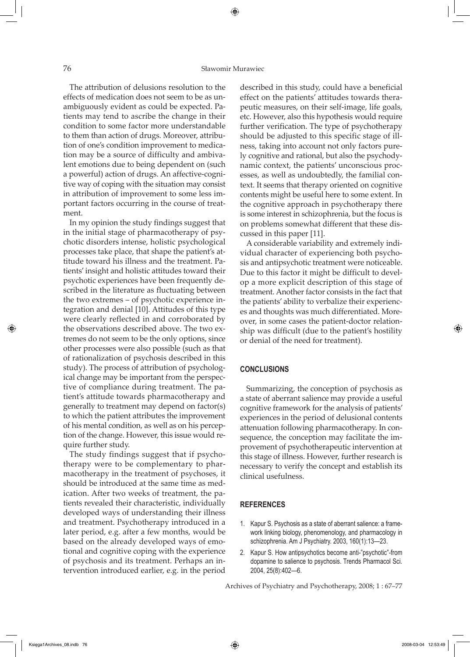The attribution of delusions resolution to the effects of medication does not seem to be as unambiguously evident as could be expected. Patients may tend to ascribe the change in their condition to some factor more understandable to them than action of drugs. Moreover, attribution of one's condition improvement to medication may be a source of difficulty and ambivalent emotions due to being dependent on (such a powerful) action of drugs. An affective-cognitive way of coping with the situation may consist in attribution of improvement to some less important factors occurring in the course of treatment.

In my opinion the study findings suggest that in the initial stage of pharmacotherapy of psychotic disorders intense, holistic psychological processes take place, that shape the patient's attitude toward his illness and the treatment. Patients' insight and holistic attitudes toward their psychotic experiences have been frequently described in the literature as fluctuating between the two extremes – of psychotic experience integration and denial [10]. Attitudes of this type were clearly reflected in and corroborated by the observations described above. The two extremes do not seem to be the only options, since other processes were also possible (such as that of rationalization of psychosis described in this study). The process of attribution of psychological change may be important from the perspective of compliance during treatment. The patient's attitude towards pharmacotherapy and generally to treatment may depend on factor(s) to which the patient attributes the improvement of his mental condition, as well as on his perception of the change. However, this issue would require further study.

The study findings suggest that if psychotherapy were to be complementary to pharmacotherapy in the treatment of psychoses, it should be introduced at the same time as medication. After two weeks of treatment, the patients revealed their characteristic, individually developed ways of understanding their illness and treatment. Psychotherapy introduced in a later period, e.g. after a few months, would be based on the already developed ways of emotional and cognitive coping with the experience of psychosis and its treatment. Perhaps an intervention introduced earlier, e.g. in the period

described in this study, could have a beneficial effect on the patients' attitudes towards therapeutic measures, on their self-image, life goals, etc. However, also this hypothesis would require further verification. The type of psychotherapy should be adjusted to this specific stage of illness, taking into account not only factors purely cognitive and rational, but also the psychodynamic context, the patients' unconscious processes, as well as undoubtedly, the familial context. It seems that therapy oriented on cognitive contents might be useful here to some extent. In the cognitive approach in psychotherapy there is some interest in schizophrenia, but the focus is on problems somewhat different that these discussed in this paper [11].

A considerable variability and extremely individual character of experiencing both psychosis and antipsychotic treatment were noticeable. Due to this factor it might be difficult to develop a more explicit description of this stage of treatment. Another factor consists in the fact that the patients' ability to verbalize their experiences and thoughts was much differentiated. Moreover, in some cases the patient-doctor relationship was difficult (due to the patient's hostility or denial of the need for treatment).

# **CONCLUSIONs**

Summarizing, the conception of psychosis as a state of aberrant salience may provide a useful cognitive framework for the analysis of patients' experiences in the period of delusional contents attenuation following pharmacotherapy. In consequence, the conception may facilitate the improvement of psychotherapeutic intervention at this stage of illness. However, further research is necessary to verify the concept and establish its clinical usefulness.

# **REFERENCES**

- 1. Kapur S. Psychosis as a state of aberrant salience: a framework linking biology, phenomenology, and pharmacology in schizophrenia. Am J Psychiatry. 2003, 160(1):13—23.
- 2. Kapur S. How antipsychotics become anti-"psychotic"-from dopamine to salience to psychosis. Trends Pharmacol Sci. 2004, 25(8):402—6.

Archives of Psychiatry and Psychotherapy, 2008; 1 : 67–77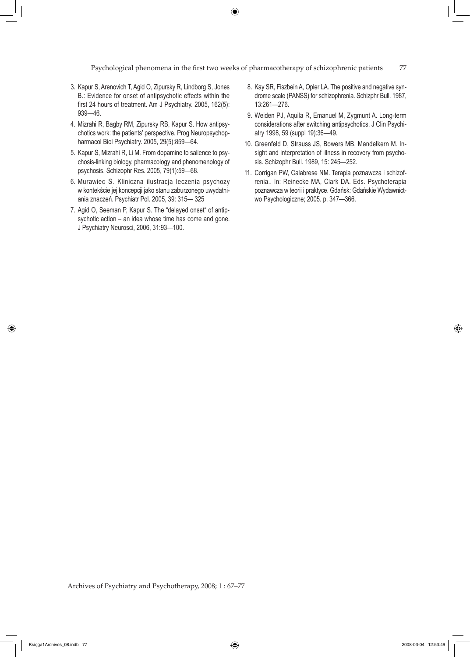◈

Psychological phenomena in the first two weeks of pharmacotherapy of schizophrenic patients 77

- 3. Kapur S, Arenovich T, Agid O, Zipursky R, Lindborg S, Jones B.: Evidence for onset of antipsychotic effects within the first 24 hours of treatment. Am J Psychiatry. 2005, 162(5): 939—46.
- 4. Mizrahi R, Bagby RM, Zipursky RB, Kapur S. How antipsychotics work: the patients' perspective. Prog Neuropsychopharmacol Biol Psychiatry. 2005, 29(5):859—64.
- 5. Kapur S, Mizrahi R, Li M. From dopamine to salience to psychosis-linking biology, pharmacology and phenomenology of psychosis. Schizophr Res. 2005, 79(1):59—68.
- 6. Murawiec S. Kliniczna ilustracja leczenia psychozy w kontekście jej koncepcji jako stanu zaburzonego uwydatniania znaczeń. Psychiatr Pol. 2005, 39: 315— 325
- 7. Agid O, Seeman P, Kapur S. The "delayed onset" of antipsychotic action – an idea whose time has come and gone. J Psychiatry Neurosci, 2006, 31:93—100.
- 8. Kay SR, Fiszbein A, Opler LA. The positive and negative syndrome scale (PANSS) for schizophrenia. Schizphr Bull. 1987, 13:261—276.
- 9. Weiden PJ, Aquila R, Emanuel M, Zygmunt A. Long-term considerations after switching antipsychotics. J Clin Psychiatry 1998, 59 (suppl 19):36—49.
- 10. Greenfeld D, Strauss JS, Bowers MB, Mandelkern M. Insight and interpretation of illness in recovery from psychosis. Schizophr Bull. 1989, 15: 245—252.
- 11. Corrigan PW, Calabrese NM. Terapia poznawcza i schizofrenia.. In: Reinecke MA, Clark DA. Eds. Psychoterapia poznawcza w teorii i praktyce. Gdańsk: Gdańskie Wydawnictwo Psychologiczne; 2005. p. 347—366.

Archives of Psychiatry and Psychotherapy, 2008; 1 : 67–77

⊕